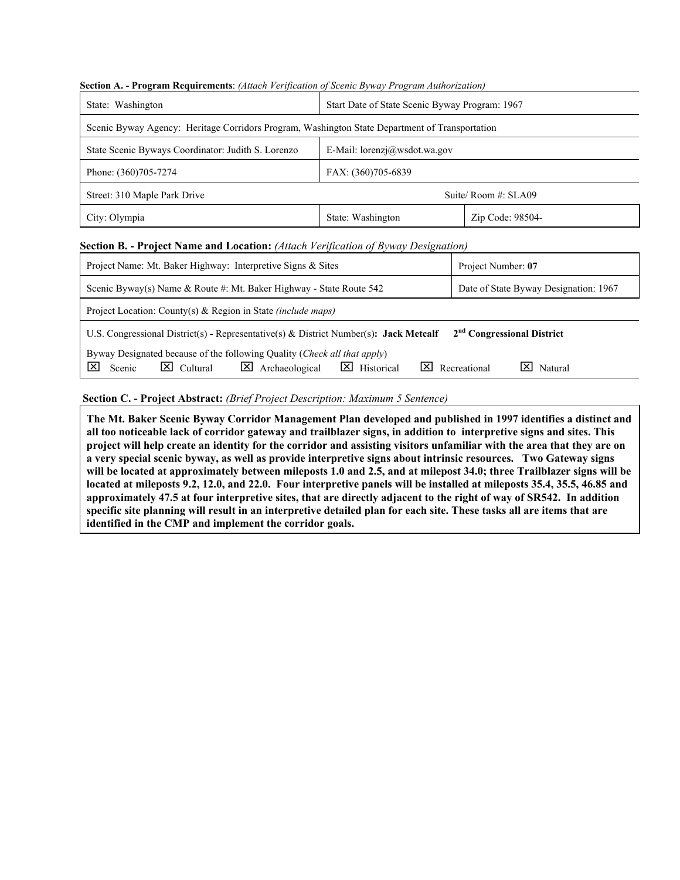| Start Date of State Scenic Byway Program: 1967<br>Scenic Byway Agency: Heritage Corridors Program, Washington State Department of Transportation |  |  |  |  |  |
|--------------------------------------------------------------------------------------------------------------------------------------------------|--|--|--|--|--|
|                                                                                                                                                  |  |  |  |  |  |
|                                                                                                                                                  |  |  |  |  |  |
|                                                                                                                                                  |  |  |  |  |  |
|                                                                                                                                                  |  |  |  |  |  |
|                                                                                                                                                  |  |  |  |  |  |
|                                                                                                                                                  |  |  |  |  |  |
| Street: 310 Maple Park Drive<br>Suite/Room $\#$ : SLA09<br>Zip Code: 98504-<br>City: Olympia<br>State: Washington                                |  |  |  |  |  |

### **Section A. - Program Requirements**: *(Attach Verification of Scenic Byway Program Authorization)*

| Project Name: Mt. Baker Highway: Interpretive Signs & Sites                                                                                                                                        | Project Number: 07                                       |  |  |  |  |  |  |
|----------------------------------------------------------------------------------------------------------------------------------------------------------------------------------------------------|----------------------------------------------------------|--|--|--|--|--|--|
| Scenic Byway(s) Name & Route #: Mt. Baker Highway - State Route $542$                                                                                                                              | Date of State Byway Designation: 1967                    |  |  |  |  |  |  |
| Project Location: County(s) & Region in State (include maps)                                                                                                                                       |                                                          |  |  |  |  |  |  |
| 2 <sup>nd</sup> Congressional District<br>U.S. Congressional District(s) - Representative(s) & District Number(s): Jack Metcalf                                                                    |                                                          |  |  |  |  |  |  |
| Byway Designated because of the following Quality (Check all that apply)<br>$\overline{\mathsf{x}}$<br>⊠<br>$\boxtimes$ Cultural<br>Archaeological<br>$\overline{\mathbf{X}}$ Historical<br>Scenic | $\boxed{\mathsf{X}}$ Recreational<br>$\boxtimes$ Natural |  |  |  |  |  |  |

## **Section C. - Project Abstract:** *(Brief Project Description: Maximum 5 Sentence)*

**The Mt. Baker Scenic Byway Corridor Management Plan developed and published in 1997 identifies a distinct and all too noticeable lack of corridor gateway and trailblazer signs, in addition to interpretive signs and sites. This project will help create an identity for the corridor and assisting visitors unfamiliar with the area that they are on a very special scenic byway, as well as provide interpretive signs about intrinsic resources. Two Gateway signs will be located at approximately between mileposts 1.0 and 2.5, and at milepost 34.0; three Trailblazer signs will be located at mileposts 9.2, 12.0, and 22.0. Four interpretive panels will be installed at mileposts 35.4, 35.5, 46.85 and approximately 47.5 at four interpretive sites, that are directly adjacent to the right of way of SR542. In addition specific site planning will result in an interpretive detailed plan for each site. These tasks all are items that are identified in the CMP and implement the corridor goals.**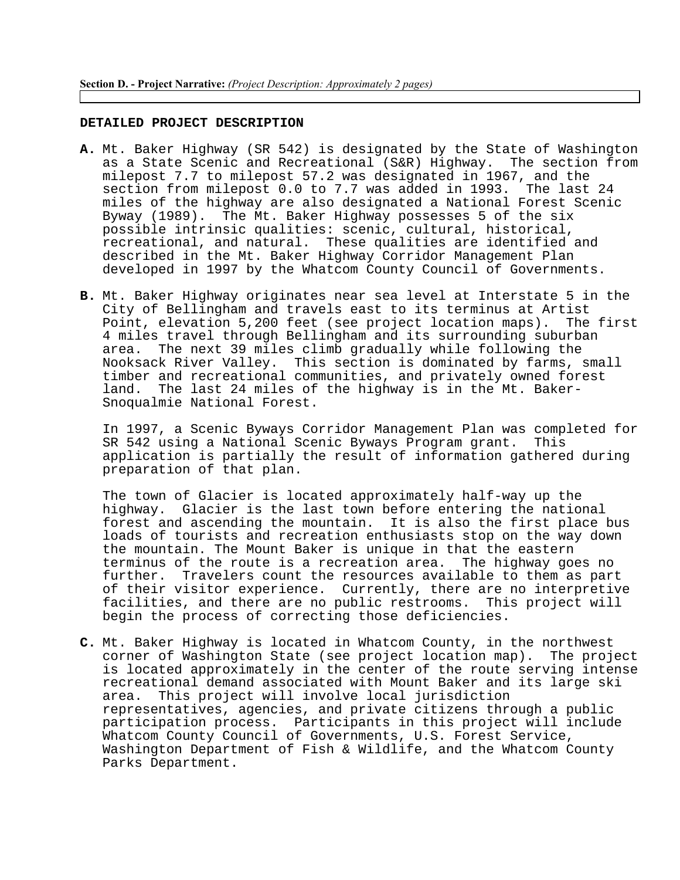#### **DETAILED PROJECT DESCRIPTION**

- **A.** Mt. Baker Highway (SR 542) is designated by the State of Washington as a State Scenic and Recreational (S&R) Highway. The section from milepost 7.7 to milepost 57.2 was designated in 1967, and the section from milepost 0.0 to 7.7 was added in 1993. The last 24 miles of the highway are also designated a National Forest Scenic Byway (1989). The Mt. Baker Highway possesses 5 of the six possible intrinsic qualities: scenic, cultural, historical, recreational, and natural. These qualities are identified and described in the Mt. Baker Highway Corridor Management Plan developed in 1997 by the Whatcom County Council of Governments.
- **B.** Mt. Baker Highway originates near sea level at Interstate 5 in the City of Bellingham and travels east to its terminus at Artist<br>Point, elevation 5,200 feet (see project location maps). The first Point, elevation 5,200 feet (see project location maps). 4 miles travel through Bellingham and its surrounding suburban area. The next 39 miles climb gradually while following the Nooksack River Valley. This section is dominated by farms, small timber and recreational communities, and privately owned forest land. The last 24 miles of the highway is in the Mt. Baker-Snoqualmie National Forest.

In 1997, a Scenic Byways Corridor Management Plan was completed for SR 542 using a National Scenic Byways Program grant. This application is partially the result of information gathered during preparation of that plan.

The town of Glacier is located approximately half-way up the highway. Glacier is the last town before entering the national forest and ascending the mountain. It is also the first place bus loads of tourists and recreation enthusiasts stop on the way down the mountain. The Mount Baker is unique in that the eastern terminus of the route is a recreation area. The highway goes no further. Travelers count the resources available to them as part of their visitor experience. Currently, there are no interpretive facilities, and there are no public restrooms. This project will begin the process of correcting those deficiencies.

**C.** Mt. Baker Highway is located in Whatcom County, in the northwest corner of Washington State (see project location map). The project is located approximately in the center of the route serving intense recreational demand associated with Mount Baker and its large ski area. This project will involve local jurisdiction representatives, agencies, and private citizens through a public participation process. Participants in this project will include Whatcom County Council of Governments, U.S. Forest Service, Washington Department of Fish & Wildlife, and the Whatcom County Parks Department.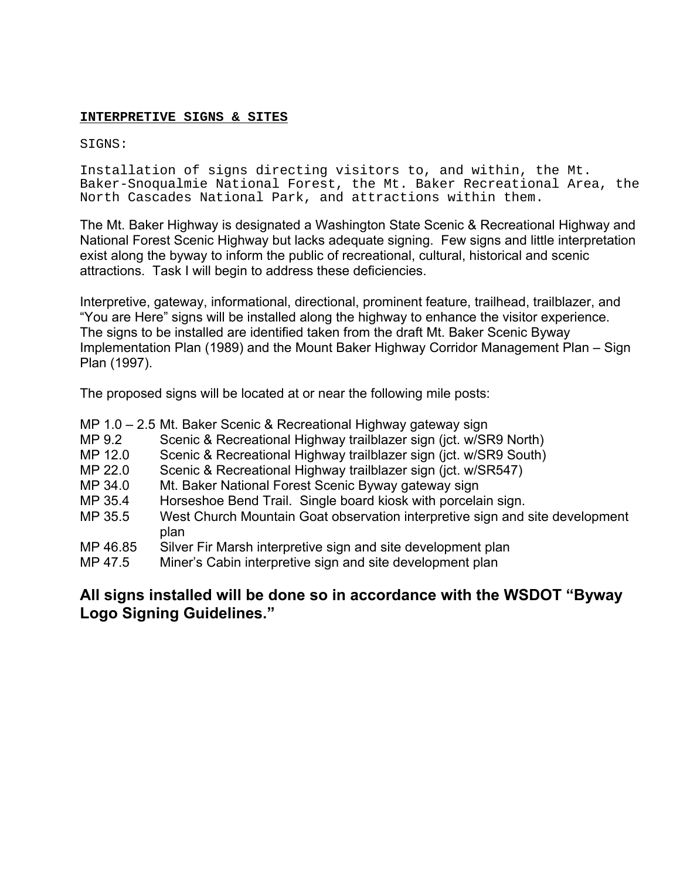# **INTERPRETIVE SIGNS & SITES**

# SIGNS:

Installation of signs directing visitors to, and within, the Mt. Baker-Snoqualmie National Forest, the Mt. Baker Recreational Area, the North Cascades National Park, and attractions within them.

The Mt. Baker Highway is designated a Washington State Scenic & Recreational Highway and National Forest Scenic Highway but lacks adequate signing. Few signs and little interpretation exist along the byway to inform the public of recreational, cultural, historical and scenic attractions. Task I will begin to address these deficiencies.

Interpretive, gateway, informational, directional, prominent feature, trailhead, trailblazer, and "You are Here" signs will be installed along the highway to enhance the visitor experience. The signs to be installed are identified taken from the draft Mt. Baker Scenic Byway Implementation Plan (1989) and the Mount Baker Highway Corridor Management Plan – Sign Plan (1997).

The proposed signs will be located at or near the following mile posts:

|          | MP 1.0 - 2.5 Mt. Baker Scenic & Recreational Highway gateway sign                    |
|----------|--------------------------------------------------------------------------------------|
| MP 9.2   | Scenic & Recreational Highway trailblazer sign (jct. w/SR9 North)                    |
| MP 12.0  | Scenic & Recreational Highway trailblazer sign (jct. w/SR9 South)                    |
| MP 22.0  | Scenic & Recreational Highway trailblazer sign (jct. w/SR547)                        |
| MP 34.0  | Mt. Baker National Forest Scenic Byway gateway sign                                  |
| MP 35.4  | Horseshoe Bend Trail. Single board kiosk with porcelain sign.                        |
| MP 35.5  | West Church Mountain Goat observation interpretive sign and site development<br>plan |
| MP 46.85 | Silver Fir Marsh interpretive sign and site development plan                         |
| MP 47.5  | Miner's Cabin interpretive sign and site development plan                            |
|          |                                                                                      |

# **All signs installed will be done so in accordance with the WSDOT "Byway Logo Signing Guidelines."**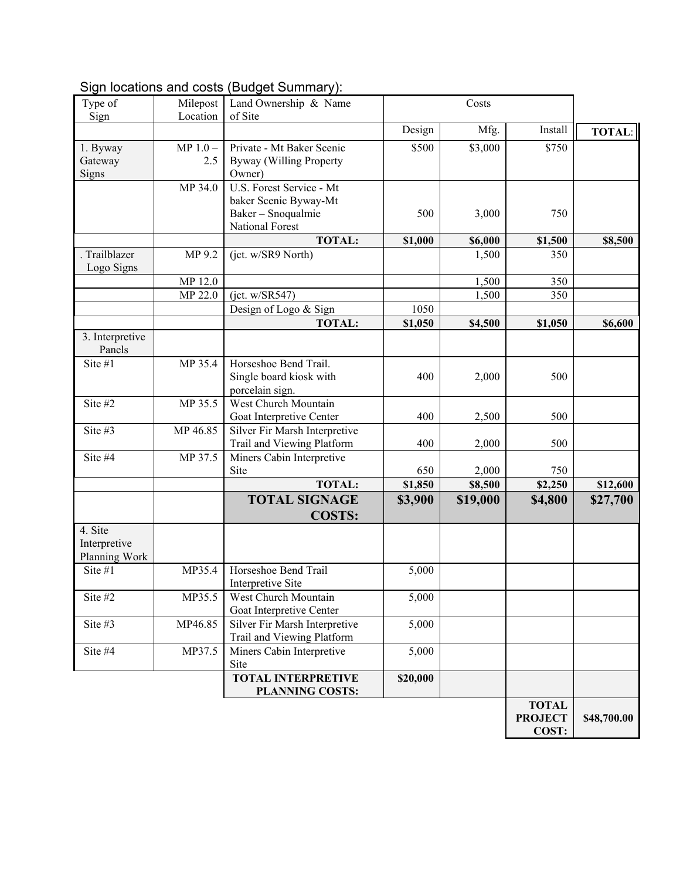# Sign locations and costs (Budget Summary):

| Type of                   | Milepost   | Land Ownership & Name                        |          | Costs    |                                         |               |
|---------------------------|------------|----------------------------------------------|----------|----------|-----------------------------------------|---------------|
| Sign                      | Location   | of Site                                      |          |          |                                         |               |
|                           |            |                                              | Design   | Mfg.     | Install                                 | <b>TOTAL:</b> |
| 1. Byway                  | $MP 1.0 -$ | Private - Mt Baker Scenic                    | \$500    | \$3,000  | \$750                                   |               |
| Gateway                   | 2.5        | Byway (Willing Property                      |          |          |                                         |               |
| Signs                     |            | Owner)                                       |          |          |                                         |               |
|                           | MP 34.0    | U.S. Forest Service - Mt                     |          |          |                                         |               |
|                           |            | baker Scenic Byway-Mt                        |          |          |                                         |               |
|                           |            | Baker - Snoqualmie                           | 500      | 3,000    | 750                                     |               |
|                           |            | National Forest                              |          |          |                                         |               |
|                           |            | <b>TOTAL:</b>                                | \$1,000  | \$6,000  | \$1,500                                 | \$8,500       |
| Trailblazer<br>Logo Signs | MP 9.2     | (jct. w/SR9 North)                           |          | 1,500    | 350                                     |               |
|                           | MP 12.0    |                                              |          | 1,500    | 350                                     |               |
|                           | MP 22.0    | (jct. w/SR547)                               |          | 1,500    | 350                                     |               |
|                           |            | Design of Logo & Sign                        | 1050     |          |                                         |               |
|                           |            | <b>TOTAL:</b>                                | \$1,050  | \$4,500  | \$1,050                                 | \$6,600       |
| 3. Interpretive<br>Panels |            |                                              |          |          |                                         |               |
| Site #1                   | MP 35.4    | Horseshoe Bend Trail.                        |          |          |                                         |               |
|                           |            | Single board kiosk with                      | 400      | 2,000    | 500                                     |               |
|                           |            | porcelain sign.                              |          |          |                                         |               |
| Site #2                   | MP 35.5    | West Church Mountain                         |          |          |                                         |               |
|                           |            | Goat Interpretive Center                     | 400      | 2,500    | 500                                     |               |
| Site #3                   | MP 46.85   | Silver Fir Marsh Interpretive                |          |          |                                         |               |
|                           |            | Trail and Viewing Platform                   | 400      | 2,000    | 500                                     |               |
| Site #4                   | MP 37.5    | Miners Cabin Interpretive<br>Site            | 650      | 2,000    | 750                                     |               |
|                           |            | <b>TOTAL:</b>                                | \$1,850  | \$8,500  | \$2,250                                 | \$12,600      |
|                           |            | <b>TOTAL SIGNAGE</b>                         | \$3,900  | \$19,000 | \$4,800                                 | \$27,700      |
|                           |            | <b>COSTS:</b>                                |          |          |                                         |               |
| 4. Site                   |            |                                              |          |          |                                         |               |
| Interpretive              |            |                                              |          |          |                                         |               |
| Planning Work             |            |                                              |          |          |                                         |               |
| Site #1                   | MP35.4     | Horseshoe Bend Trail                         | 5,000    |          |                                         |               |
|                           |            | Interpretive Site                            |          |          |                                         |               |
| Site #2                   | MP35.5     | West Church Mountain                         | 5,000    |          |                                         |               |
|                           |            | Goat Interpretive Center                     |          |          |                                         |               |
| Site #3                   | MP46.85    | Silver Fir Marsh Interpretive                | 5,000    |          |                                         |               |
|                           |            | Trail and Viewing Platform                   |          |          |                                         |               |
| Site #4                   | MP37.5     | Miners Cabin Interpretive                    | 5,000    |          |                                         |               |
|                           |            | Site                                         |          |          |                                         |               |
|                           |            | <b>TOTAL INTERPRETIVE</b><br>PLANNING COSTS: | \$20,000 |          |                                         |               |
|                           |            |                                              |          |          | <b>TOTAL</b><br><b>PROJECT</b><br>COST: | \$48,700.00   |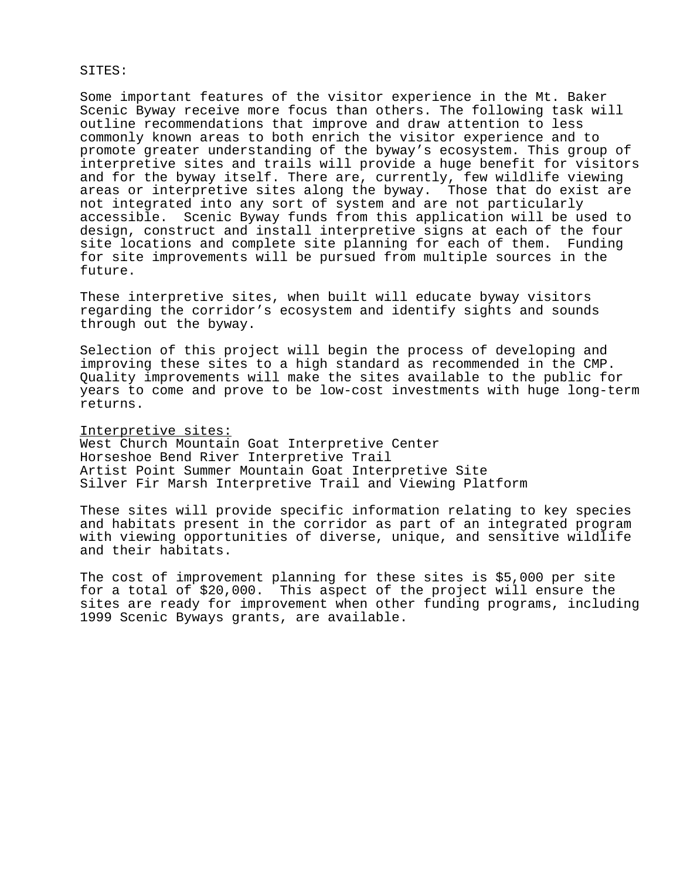#### SITES:

Some important features of the visitor experience in the Mt. Baker Scenic Byway receive more focus than others. The following task will outline recommendations that improve and draw attention to less commonly known areas to both enrich the visitor experience and to promote greater understanding of the byway's ecosystem. This group of interpretive sites and trails will provide a huge benefit for visitors and for the byway itself. There are, currently, few wildlife viewing areas or interpretive sites along the byway. Those that do exist are not integrated into any sort of system and are not particularly accessible. Scenic Byway funds from this application will be used to design, construct and install interpretive signs at each of the four site locations and complete site planning for each of them. Funding for site improvements will be pursued from multiple sources in the future.

These interpretive sites, when built will educate byway visitors regarding the corridor's ecosystem and identify sights and sounds through out the byway.

Selection of this project will begin the process of developing and improving these sites to a high standard as recommended in the CMP. Quality improvements will make the sites available to the public for years to come and prove to be low-cost investments with huge long-term returns.

#### Interpretive sites:

West Church Mountain Goat Interpretive Center Horseshoe Bend River Interpretive Trail Artist Point Summer Mountain Goat Interpretive Site Silver Fir Marsh Interpretive Trail and Viewing Platform

These sites will provide specific information relating to key species and habitats present in the corridor as part of an integrated program with viewing opportunities of diverse, unique, and sensitive wildlife and their habitats.

The cost of improvement planning for these sites is \$5,000 per site for a total of \$20,000. This aspect of the project will ensure the sites are ready for improvement when other funding programs, including 1999 Scenic Byways grants, are available.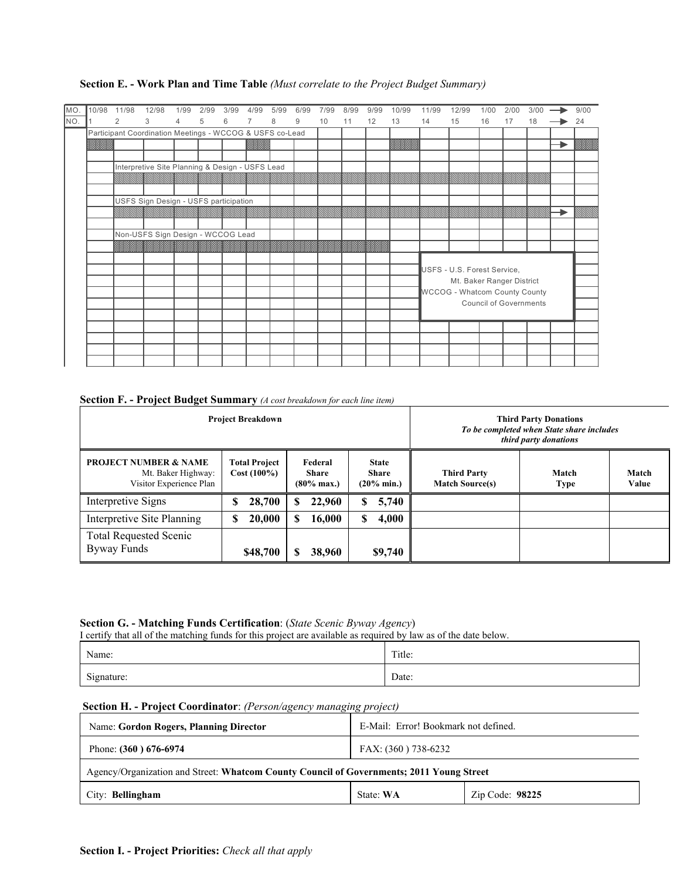| MO. | 10/98 | 11/98 | 12/98                                                    | 1/99 | 2/99 | 3/99 | 4/99           | 5/99 | 6/99           | 7/99 | 8/99 | 9/99 | 10/99 | 11/99 | 12/99                                                             | 1/00 | 2/00 | 3/00 |  | 9/00 |
|-----|-------|-------|----------------------------------------------------------|------|------|------|----------------|------|----------------|------|------|------|-------|-------|-------------------------------------------------------------------|------|------|------|--|------|
| NO. |       | 2     | 3                                                        | 4    | 5    | 6    | $\overline{7}$ | 8    | $\overline{9}$ | 10   | 11   | 12   | 13    | 14    | 15                                                                | 16   | 17   | 18   |  | 24   |
|     |       |       | Participant Coordination Meetings - WCCOG & USFS co-Lead |      |      |      |                |      |                |      |      |      |       |       |                                                                   |      |      |      |  |      |
|     |       |       |                                                          |      |      |      | <b>1999</b>    |      |                |      |      |      |       |       |                                                                   |      |      |      |  |      |
|     |       |       |                                                          |      |      |      |                |      |                |      |      |      |       |       |                                                                   |      |      |      |  |      |
|     |       |       | Interpretive Site Planning & Design - USFS Lead          |      |      |      |                |      |                |      |      |      |       |       |                                                                   |      |      |      |  |      |
|     |       |       |                                                          |      |      |      |                |      |                |      |      |      |       |       |                                                                   |      |      |      |  |      |
|     |       |       |                                                          |      |      |      |                |      |                |      |      |      |       |       |                                                                   |      |      |      |  |      |
|     |       |       | USFS Sign Design - USFS participation                    |      |      |      |                |      |                |      |      |      |       |       |                                                                   |      |      |      |  |      |
|     |       |       |                                                          |      |      |      |                |      |                |      |      |      |       |       |                                                                   |      |      |      |  |      |
|     |       |       |                                                          |      |      |      |                |      |                |      |      |      |       |       |                                                                   |      |      |      |  |      |
|     |       |       | Non-USFS Sign Design - WCCOG Lead                        |      |      |      |                |      |                |      |      |      |       |       |                                                                   |      |      |      |  |      |
|     |       |       |                                                          |      |      |      |                |      |                |      |      |      |       |       |                                                                   |      |      |      |  |      |
|     |       |       |                                                          |      |      |      |                |      |                |      |      |      |       |       |                                                                   |      |      |      |  |      |
|     |       |       |                                                          |      |      |      |                |      |                |      |      |      |       |       | USFS - U.S. Forest Service.                                       |      |      |      |  |      |
|     |       |       |                                                          |      |      |      |                |      |                |      |      |      |       |       | Mt. Baker Ranger District<br><b>WCCOG</b> - Whatcom County County |      |      |      |  |      |
|     |       |       |                                                          |      |      |      |                |      |                |      |      |      |       |       |                                                                   |      |      |      |  |      |
|     |       |       |                                                          |      |      |      |                |      |                |      |      |      |       |       | <b>Council of Governments</b>                                     |      |      |      |  |      |
|     |       |       |                                                          |      |      |      |                |      |                |      |      |      |       |       |                                                                   |      |      |      |  |      |
|     |       |       |                                                          |      |      |      |                |      |                |      |      |      |       |       |                                                                   |      |      |      |  |      |
|     |       |       |                                                          |      |      |      |                |      |                |      |      |      |       |       |                                                                   |      |      |      |  |      |
|     |       |       |                                                          |      |      |      |                |      |                |      |      |      |       |       |                                                                   |      |      |      |  |      |
|     |       |       |                                                          |      |      |      |                |      |                |      |      |      |       |       |                                                                   |      |      |      |  |      |

## **Section E. - Work Plan and Time Table** *(Must correlate to the Project Budget Summary)*

| Section F. - Project Budget Summary (A cost breakdown for each line item) |  |
|---------------------------------------------------------------------------|--|
|---------------------------------------------------------------------------|--|

|                                                                                   | <b>Project Breakdown</b>              | <b>Third Party Donations</b><br>To be completed when State share includes<br>third party donations |                                     |                                              |                      |                |
|-----------------------------------------------------------------------------------|---------------------------------------|----------------------------------------------------------------------------------------------------|-------------------------------------|----------------------------------------------|----------------------|----------------|
| <b>PROJECT NUMBER &amp; NAME</b><br>Mt. Baker Highway:<br>Visitor Experience Plan | <b>Total Project</b><br>$Cost(100\%)$ | Federal<br><b>Share</b><br>$(80\% \text{ max.})$                                                   | <b>State</b><br>Share<br>(20% min.) | <b>Third Party</b><br><b>Match Source(s)</b> | Match<br><b>Type</b> | Match<br>Value |
| Interpretive Signs                                                                | 28,700                                | 22,960<br>S                                                                                        | S<br>5,740                          |                                              |                      |                |
| Interpretive Site Planning                                                        | 20,000                                | 16,000<br>S                                                                                        | 4,000<br>S                          |                                              |                      |                |
| <b>Total Requested Scenic</b><br>Byway Funds                                      | \$48,700                              | 38,960<br>S                                                                                        | \$9,740                             |                                              |                      |                |

# **Section G. - Matching Funds Certification**: (*State Scenic Byway Agency*)

I certify that all of the matching funds for this project are available as required by law as of the date below.

| Name:      | Title: |
|------------|--------|
| Signature: | Date:  |

## **Section H. - Project Coordinator**: *(Person/agency managing project)*

| <b>Name: Gordon Rogers, Planning Director</b>                                            | E-Mail: Error! Bookmark not defined. |                 |  |  |  |
|------------------------------------------------------------------------------------------|--------------------------------------|-----------------|--|--|--|
| Phone: $(360)$ 676-6974                                                                  | FAX: (360) 738-6232                  |                 |  |  |  |
| Agency/Organization and Street: Whatcom County Council of Governments; 2011 Young Street |                                      |                 |  |  |  |
| City: <b>Bellingham</b>                                                                  | State: WA                            | Zip Code: 98225 |  |  |  |